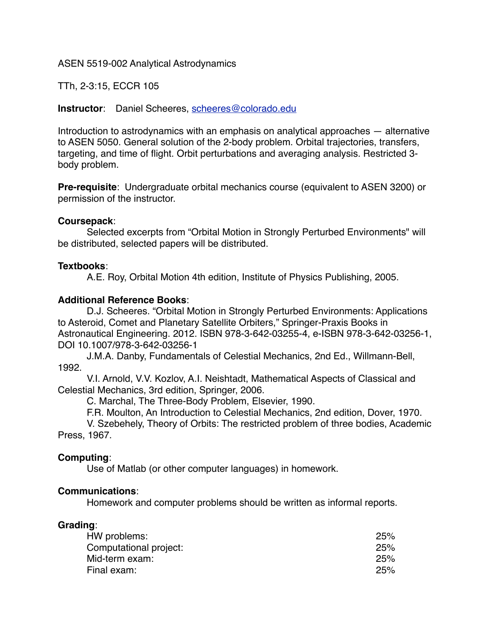ASEN 5519-002 Analytical Astrodynamics

TTh, 2-3:15, ECCR 105

**Instructor**: Daniel Scheeres, [scheeres@colorado.edu](mailto:scheeres@colorado.edu)

Introduction to astrodynamics with an emphasis on analytical approaches — alternative to ASEN 5050. General solution of the 2-body problem. Orbital trajectories, transfers, targeting, and time of flight. Orbit perturbations and averaging analysis. Restricted 3 body problem.

**Pre-requisite**: Undergraduate orbital mechanics course (equivalent to ASEN 3200) or permission of the instructor.

## **Coursepack**:

Selected excerpts from "Orbital Motion in Strongly Perturbed Environments" will be distributed, selected papers will be distributed.

## **Textbooks**:

A.E. Roy, Orbital Motion 4th edition, Institute of Physics Publishing, 2005.

## **Additional Reference Books**:

D.J. Scheeres. "Orbital Motion in Strongly Perturbed Environments: Applications to Asteroid, Comet and Planetary Satellite Orbiters," Springer-Praxis Books in Astronautical Engineering. 2012. ISBN 978-3-642-03255-4, e-ISBN 978-3-642-03256-1, DOI 10.1007/978-3-642-03256-1

J.M.A. Danby, Fundamentals of Celestial Mechanics, 2nd Ed., Willmann-Bell, 1992.

V.I. Arnold, V.V. Kozlov, A.I. Neishtadt, Mathematical Aspects of Classical and Celestial Mechanics, 3rd edition, Springer, 2006.

C. Marchal, The Three-Body Problem, Elsevier, 1990.

F.R. Moulton, An Introduction to Celestial Mechanics, 2nd edition, Dover, 1970.

V. Szebehely, Theory of Orbits: The restricted problem of three bodies, Academic Press, 1967.

## **Computing**:

Use of Matlab (or other computer languages) in homework.

## **Communications**:

Homework and computer problems should be written as informal reports.

## **Grading**:

| HW problems:           | 25% |
|------------------------|-----|
| Computational project: | 25% |
| Mid-term exam:         | 25% |
| Final exam:            | 25% |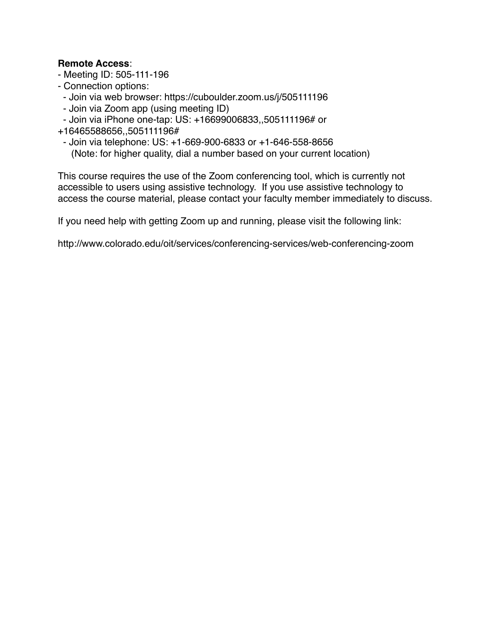## **Remote Access**:

- Meeting ID: 505-111-196
- Connection options:
- Join via web browser: https://cuboulder.zoom.us/j/505111196
- Join via Zoom app (using meeting ID)
- Join via iPhone one-tap: US: +16699006833,,505111196# or
- +16465588656,,505111196#
- - Join via telephone: US: +1-669-900-6833 or +1-646-558-8656 (Note: for higher quality, dial a number based on your current location)

This course requires the use of the Zoom conferencing tool, which is currently not accessible to users using assistive technology. If you use assistive technology to access the course material, please contact your faculty member immediately to discuss.

If you need help with getting Zoom up and running, please visit the following link:

http://www.colorado.edu/oit/services/conferencing-services/web-conferencing-zoom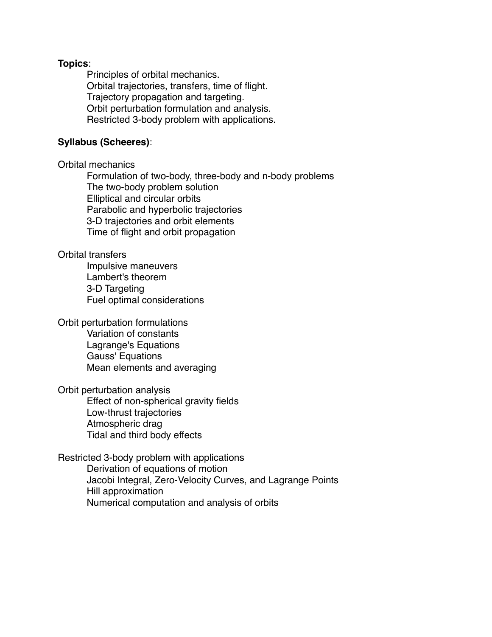#### **Topics**:

Principles of orbital mechanics. Orbital trajectories, transfers, time of flight. Trajectory propagation and targeting. Orbit perturbation formulation and analysis. Restricted 3-body problem with applications.

#### **Syllabus (Scheeres)**:

#### Orbital mechanics

Formulation of two-body, three-body and n-body problems The two-body problem solution Elliptical and circular orbits Parabolic and hyperbolic trajectories 3-D trajectories and orbit elements Time of flight and orbit propagation

#### Orbital transfers

Impulsive maneuvers Lambert's theorem 3-D Targeting Fuel optimal considerations

# Orbit perturbation formulations

Variation of constants Lagrange's Equations Gauss' Equations Mean elements and averaging

#### Orbit perturbation analysis

Effect of non-spherical gravity fields Low-thrust trajectories Atmospheric drag Tidal and third body effects

## Restricted 3-body problem with applications

Derivation of equations of motion Jacobi Integral, Zero-Velocity Curves, and Lagrange Points Hill approximation Numerical computation and analysis of orbits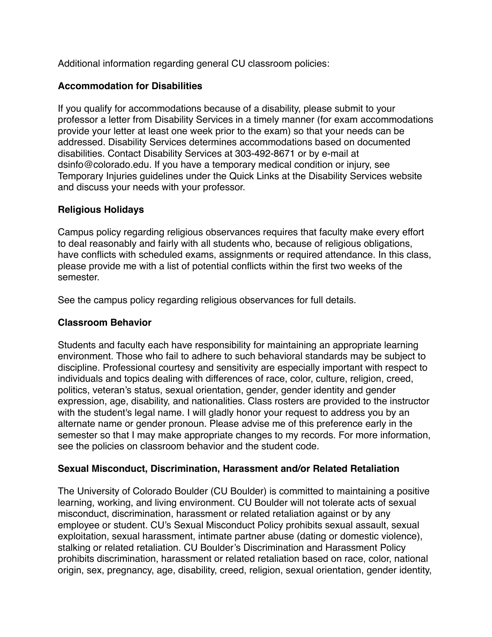Additional information regarding general CU classroom policies:

# **Accommodation for Disabilities**

If you qualify for accommodations because of a disability, please submit to your professor a letter from Disability Services in a timely manner (for exam accommodations provide your letter at least one week prior to the exam) so that your needs can be addressed. Disability Services determines accommodations based on documented disabilities. Contact Disability Services at 303-492-8671 or by e-mail at dsinfo@colorado.edu. If you have a temporary medical condition or injury, see Temporary Injuries guidelines under the Quick Links at the Disability Services website and discuss your needs with your professor.

## **Religious Holidays**

Campus policy regarding religious observances requires that faculty make every effort to deal reasonably and fairly with all students who, because of religious obligations, have conflicts with scheduled exams, assignments or required attendance. In this class, please provide me with a list of potential conflicts within the first two weeks of the semester.

See the campus policy regarding religious observances for full details.

# **Classroom Behavior**

Students and faculty each have responsibility for maintaining an appropriate learning environment. Those who fail to adhere to such behavioral standards may be subject to discipline. Professional courtesy and sensitivity are especially important with respect to individuals and topics dealing with differences of race, color, culture, religion, creed, politics, veteran's status, sexual orientation, gender, gender identity and gender expression, age, disability, and nationalities. Class rosters are provided to the instructor with the student's legal name. I will gladly honor your request to address you by an alternate name or gender pronoun. Please advise me of this preference early in the semester so that I may make appropriate changes to my records. For more information, see the policies on classroom behavior and the student code.

## **Sexual Misconduct, Discrimination, Harassment and/or Related Retaliation**

The University of Colorado Boulder (CU Boulder) is committed to maintaining a positive learning, working, and living environment. CU Boulder will not tolerate acts of sexual misconduct, discrimination, harassment or related retaliation against or by any employee or student. CU's Sexual Misconduct Policy prohibits sexual assault, sexual exploitation, sexual harassment, intimate partner abuse (dating or domestic violence), stalking or related retaliation. CU Boulder's Discrimination and Harassment Policy prohibits discrimination, harassment or related retaliation based on race, color, national origin, sex, pregnancy, age, disability, creed, religion, sexual orientation, gender identity,